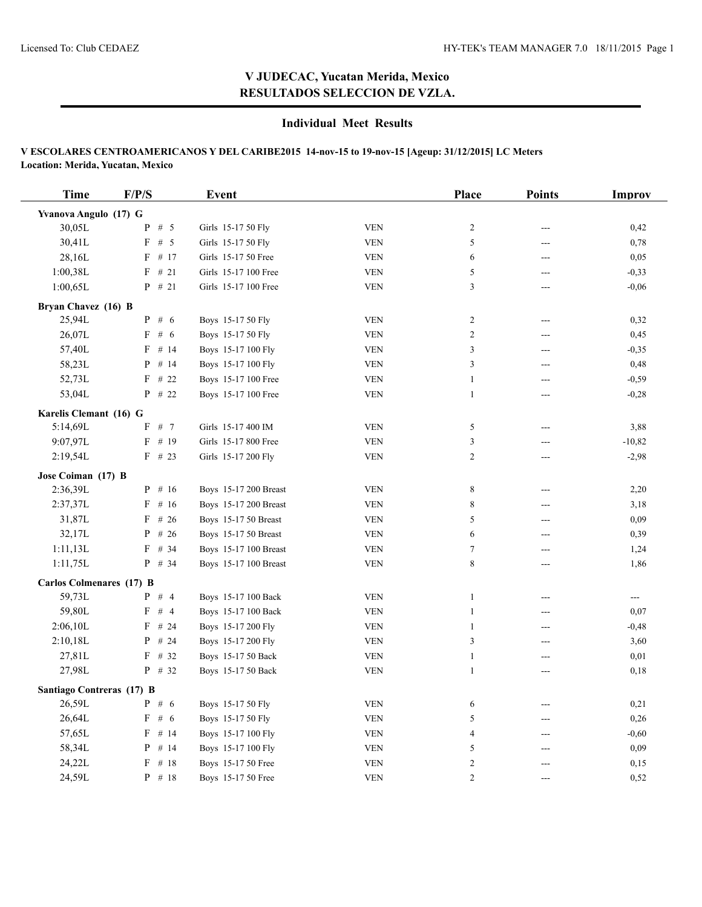## **V JUDECAC, Yucatan Merida, Mexico RESULTADOS SELECCION DE VZLA.**

### **Individual Meet Results**

#### **V ESCOLARES CENTROAMERICANOS Y DEL CARIBE2015 14-nov-15 to 19-nov-15 [Ageup: 31/12/2015] LC Meters Location: Merida, Yucatan, Mexico**

| <b>Time</b>                     | F/P/S      | Event                 |            | Place          | <b>Points</b>  | Improv   |
|---------------------------------|------------|-----------------------|------------|----------------|----------------|----------|
| Yvanova Angulo (17) G           |            |                       |            |                |                |          |
| 30,05L                          | # $5$<br>P | Girls 15-17 50 Fly    | <b>VEN</b> | $\sqrt{2}$     | ---            | 0,42     |
| 30,41L                          | F # 5      | Girls 15-17 50 Fly    | <b>VEN</b> | 5              | $---$          | 0,78     |
| 28,16L                          | $F$ # 17   | Girls 15-17 50 Free   | <b>VEN</b> | 6              | $\overline{a}$ | 0,05     |
| 1:00,38L                        | $F$ # 21   | Girls 15-17 100 Free  | <b>VEN</b> | 5              | $\overline{a}$ | $-0,33$  |
| 1:00,65L                        | $P$ # 21   | Girls 15-17 100 Free  | <b>VEN</b> | 3              | ---            | $-0,06$  |
| Bryan Chavez (16) B             |            |                       |            |                |                |          |
| 25,94L                          | $P$ # 6    | Boys 15-17 50 Fly     | <b>VEN</b> | $\sqrt{2}$     | $---$          | 0,32     |
| 26,07L                          | F # 6      | Boys 15-17 50 Fly     | <b>VEN</b> | $\overline{c}$ | ---            | 0,45     |
| 57,40L                          | $F$ # 14   | Boys 15-17 100 Fly    | <b>VEN</b> | $\mathfrak{Z}$ | $\sim$         | $-0,35$  |
| 58,23L                          | $P$ # 14   | Boys 15-17 100 Fly    | <b>VEN</b> | 3              | $---$          | 0,48     |
| 52,73L                          | $F$ # 22   | Boys 15-17 100 Free   | <b>VEN</b> | $\mathbf{1}$   | $\overline{a}$ | $-0,59$  |
| 53,04L                          | $P$ # 22   | Boys 15-17 100 Free   | <b>VEN</b> | $\mathbf{1}$   | $\overline{a}$ | $-0,28$  |
| Karelis Clemant (16) G          |            |                       |            |                |                |          |
| 5:14,69L                        | $F$ # 7    | Girls 15-17 400 IM    | <b>VEN</b> | 5              | $---$          | 3,88     |
| 9:07,97L                        | $F$ # 19   | Girls 15-17 800 Free  | <b>VEN</b> | 3              | ---            | $-10,82$ |
| 2:19,54L                        | $F$ # 23   | Girls 15-17 200 Fly   | <b>VEN</b> | $\overline{c}$ | $\sim$         | $-2,98$  |
| Jose Coiman (17) B              |            |                       |            |                |                |          |
| 2:36,39L                        | $P$ # 16   | Boys 15-17 200 Breast | <b>VEN</b> | 8              | ---            | 2,20     |
| 2:37,37L                        | $F$ # 16   | Boys 15-17 200 Breast | <b>VEN</b> | $\,$ 8 $\,$    | $---$          | 3,18     |
| 31,87L                          | $F$ # 26   | Boys 15-17 50 Breast  | <b>VEN</b> | 5              | ---            | 0,09     |
| 32,17L                          | P<br># 26  | Boys 15-17 50 Breast  | <b>VEN</b> | 6              | $\overline{a}$ | 0,39     |
| 1:11,13L                        | $F$ # 34   | Boys 15-17 100 Breast | <b>VEN</b> | $\tau$         | $---$          | 1,24     |
| 1:11,75L                        | $P$ # 34   | Boys 15-17 100 Breast | <b>VEN</b> | 8              | $\sim$         | 1,86     |
| <b>Carlos Colmenares (17) B</b> |            |                       |            |                |                |          |
| 59,73L                          | $P$ # 4    | Boys 15-17 100 Back   | <b>VEN</b> | $\mathbf{1}$   | $---$          | $-$      |
| 59,80L                          | F # 4      | Boys 15-17 100 Back   | <b>VEN</b> | $\mathbf{1}$   | $---$          | 0.07     |
| 2:06,10L                        | $F$ # 24   | Boys 15-17 200 Fly    | <b>VEN</b> | $\mathbf{1}$   | $\overline{a}$ | $-0,48$  |
| 2:10,18L                        | #24<br>P   | Boys 15-17 200 Fly    | <b>VEN</b> | 3              | $---$          | 3,60     |
| 27,81L                          | $F$ # 32   | Boys 15-17 50 Back    | <b>VEN</b> | $\mathbf{1}$   | ---            | 0,01     |
| 27,98L                          | $P$ # 32   | Boys 15-17 50 Back    | <b>VEN</b> | $\mathbf{1}$   | $---$          | 0,18     |
| Santiago Contreras (17) B       |            |                       |            |                |                |          |
| 26,59L                          | $P \# 6$   | Boys 15-17 50 Fly     | <b>VEN</b> | 6              | $\overline{a}$ | 0,21     |
| 26,64L                          | F # 6      | Boys 15-17 50 Fly     | <b>VEN</b> | 5              | $---$          | 0,26     |
| 57,65L                          | $F$ # 14   | Boys 15-17 100 Fly    | <b>VEN</b> | $\overline{4}$ | $---$          | $-0,60$  |
| 58,34L                          | P<br># 14  | Boys 15-17 100 Fly    | <b>VEN</b> | 5              | $---$          | 0,09     |
| 24,22L                          | # 18<br>F  | Boys 15-17 50 Free    | <b>VEN</b> | $\overline{c}$ | ---            | 0,15     |
| 24,59L                          | $P$ # 18   | Boys 15-17 50 Free    | <b>VEN</b> | $\overline{2}$ | $---$          | 0,52     |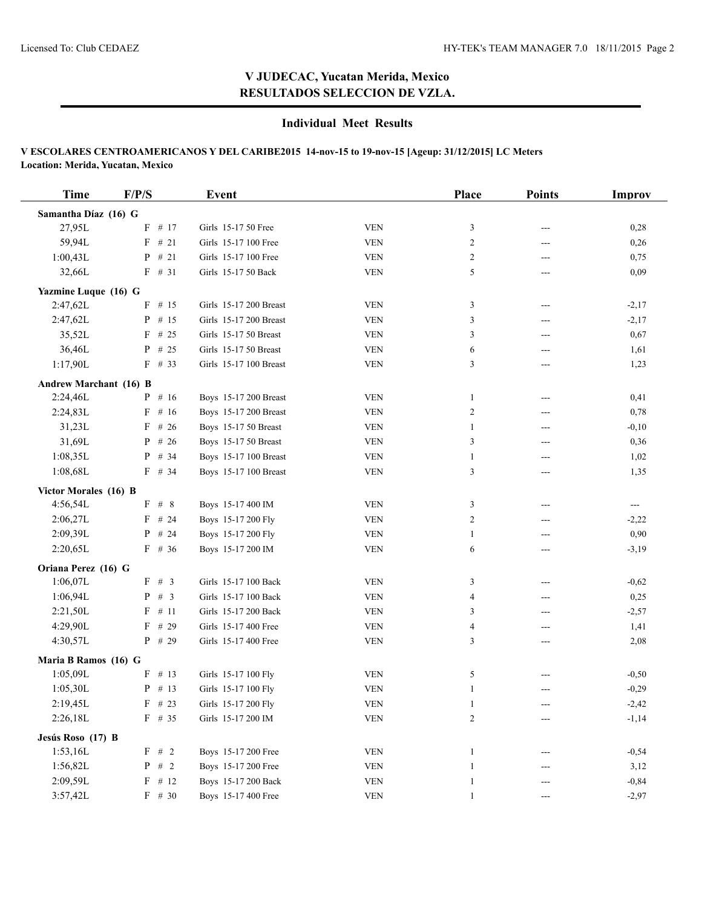## **V JUDECAC, Yucatan Merida, Mexico RESULTADOS SELECCION DE VZLA.**

### **Individual Meet Results**

#### **V ESCOLARES CENTROAMERICANOS Y DEL CARIBE2015 14-nov-15 to 19-nov-15 [Ageup: 31/12/2015] LC Meters Location: Merida, Yucatan, Mexico**

| <b>Time</b>                   | F/P/S                  | Event                  |             | Place          | <b>Points</b> | <b>Improv</b>         |
|-------------------------------|------------------------|------------------------|-------------|----------------|---------------|-----------------------|
| Samantha Díaz (16) G          |                        |                        |             |                |               |                       |
| 27,95L                        | # 17<br>F              | Girls 15-17 50 Free    | <b>VEN</b>  | 3              | ---           | 0,28                  |
| 59,94L                        | F<br>#21               | Girls 15-17 100 Free   | <b>VEN</b>  | $\overline{c}$ | ---           | 0,26                  |
| 1:00,43L                      | # 21<br>P              | Girls 15-17 100 Free   | <b>VEN</b>  | $\overline{c}$ | $---$         | 0,75                  |
| 32,66L                        | $F$ # 31               | Girls 15-17 50 Back    | <b>VEN</b>  | 5              | ---           | 0,09                  |
| Yazmine Luque (16) G          |                        |                        |             |                |               |                       |
| 2:47,62L                      | # $15$<br>F            | Girls 15-17 200 Breast | <b>VEN</b>  | 3              | $---$         | $-2,17$               |
| 2:47,62L                      | # $15$<br>$\mathbf{P}$ | Girls 15-17 200 Breast | <b>VEN</b>  | 3              | ---           | $-2,17$               |
| 35,52L                        | $F$ # 25               | Girls 15-17 50 Breast  | <b>VEN</b>  | 3              | ---           | 0,67                  |
| 36,46L                        | P<br># 25              | Girls 15-17 50 Breast  | <b>VEN</b>  | 6              | $---$         | 1,61                  |
| 1:17,90L                      | $F$ # 33               | Girls 15-17 100 Breast | <b>VEN</b>  | 3              | ---           | 1,23                  |
| <b>Andrew Marchant (16) B</b> |                        |                        |             |                |               |                       |
| 2:24,46L                      | $P$ # 16               | Boys 15-17 200 Breast  | <b>VEN</b>  | $\mathbf{1}$   | ---           | 0,41                  |
| 2:24,83L                      | # $16$<br>F            | Boys 15-17 200 Breast  | <b>VEN</b>  | $\overline{c}$ | $---$         | 0,78                  |
| 31,23L                        | # 26<br>F              | Boys 15-17 50 Breast   | <b>VEN</b>  | 1              | $---$         | $-0,10$               |
| 31,69L                        | # 26<br>P              | Boys 15-17 50 Breast   | <b>VEN</b>  | 3              | ---           | 0,36                  |
| 1:08,35L                      | # 34<br>P              | Boys 15-17 100 Breast  | <b>VEN</b>  | 1              | $---$         | 1,02                  |
| 1:08,68L                      | $F$ # 34               | Boys 15-17 100 Breast  | <b>VEN</b>  | 3              | $---$         | 1,35                  |
| Victor Morales (16) B         |                        |                        |             |                |               |                       |
| 4:56,54L                      | F # 8                  | Boys 15-17 400 IM      | <b>VEN</b>  | 3              | ---           | $\scriptstyle \cdots$ |
| 2:06,27L                      | $F$ # 24               | Boys 15-17 200 Fly     | <b>VEN</b>  | $\overline{c}$ | $---$         | $-2,22$               |
| 2:09,39L                      | $P$ # 24               | Boys 15-17 200 Fly     | <b>VEN</b>  | 1              | $---$         | 0,90                  |
| 2:20,65L                      | $F$ # 36               | Boys 15-17 200 IM      | <b>VEN</b>  | 6              | $---$         | $-3,19$               |
| Oriana Perez (16) G           |                        |                        |             |                |               |                       |
| 1:06,07L                      | F # 3                  | Girls 15-17 100 Back   | <b>VEN</b>  | 3              | $---$         | $-0,62$               |
| 1:06,94L                      | # 3<br>P               | Girls 15-17 100 Back   | <b>VEN</b>  | 4              | $---$         | 0,25                  |
| 2:21,50L                      | # 11<br>F              | Girls 15-17 200 Back   | <b>VEN</b>  | 3              | ---           | $-2,57$               |
| 4:29,90L                      | # 29<br>F              | Girls 15-17 400 Free   | <b>VEN</b>  | $\overline{4}$ | $---$         | 1,41                  |
| 4:30,57L                      | # 29<br>P              | Girls 15-17 400 Free   | <b>VEN</b>  | 3              | ---           | 2,08                  |
| Maria B Ramos (16) G          |                        |                        |             |                |               |                       |
| 1:05,09L                      | # 13<br>F              | Girls 15-17 100 Fly    | <b>VEN</b>  | 5              |               | $-0,50$               |
| 1:05,30L                      | $P$ # 13               | Girls 15-17 100 Fly    | <b>VEN</b>  | $\mathbf{1}$   | ---           | $-0,29$               |
| 2:19,45L                      | $F$ # 23               | Girls 15-17 200 Fly    | VEN         | 1              | $---$         | $-2,42$               |
| 2:26,18L                      | $F$ # 35               | Girls 15-17 200 IM     | ${\tt VEN}$ | $\overline{c}$ | ---           | $-1,14$               |
| Jesús Roso (17) B             |                        |                        |             |                |               |                       |
| 1:53,16L                      | $F$ # 2                | Boys 15-17 200 Free    | <b>VEN</b>  | 1              | ---           | $-0,54$               |
| 1:56,82L                      | $P$ # 2                | Boys 15-17 200 Free    | <b>VEN</b>  | 1              | ---           | 3,12                  |
| 2:09,59L                      | $F$ # 12               | Boys 15-17 200 Back    | <b>VEN</b>  | 1              | ---           | $-0,84$               |
| 3:57,42L                      | $F$ # 30               | Boys 15-17 400 Free    | <b>VEN</b>  | $\mathbf{1}$   | $---$         | $-2,97$               |